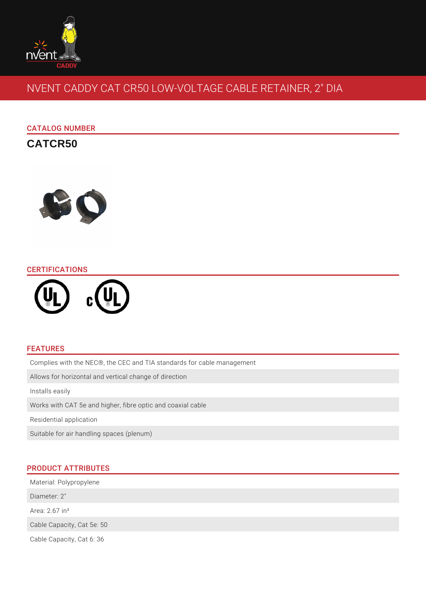

# NVENT CADDY CAT CR50 LOW-VOLTAGE CABLE RETAINER, 2" DIA

# CATALOG NUMBER

**CATCR50**



## **CERTIFICATIONS**



# FEATURES

Complies with the NEC®, the CEC and TIA standards for cable management

Allows for horizontal and vertical change of direction

Installs easily

Works with CAT 5e and higher, fibre optic and coaxial cable

Residential application

Suitable for air handling spaces (plenum)

# PRODUCT ATTRIBUTES

Material: Polypropylene

Diameter: 2"

Area: 2.67 in²

Cable Capacity, Cat 5e: 50

Cable Capacity, Cat 6: 36